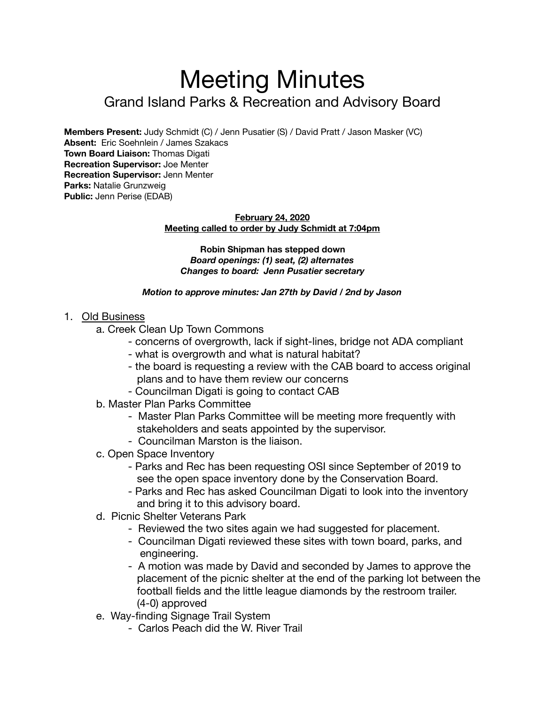# Meeting Minutes Grand Island Parks & Recreation and Advisory Board

**Members Present:** Judy Schmidt (C) / Jenn Pusatier (S) / David Pratt / Jason Masker (VC) **Absent:** Eric Soehnlein / James Szakacs **Town Board Liaison:** Thomas Digati **Recreation Supervisor:** Joe Menter **Recreation Supervisor:** Jenn Menter **Parks:** Natalie Grunzweig **Public:** Jenn Perise (EDAB)

#### **February 24, 2020 Meeting called to order by Judy Schmidt at 7:04pm**

**Robin Shipman has stepped down**  *Board openings: (1) seat, (2) alternates Changes to board: Jenn Pusatier secretary* 

#### *Motion to approve minutes: Jan 27th by David / 2nd by Jason*

### 1. Old Business

- a. Creek Clean Up Town Commons
	- concerns of overgrowth, lack if sight-lines, bridge not ADA compliant
	- what is overgrowth and what is natural habitat?
	- the board is requesting a review with the CAB board to access original plans and to have them review our concerns
	- Councilman Digati is going to contact CAB
- b. Master Plan Parks Committee
	- Master Plan Parks Committee will be meeting more frequently with stakeholders and seats appointed by the supervisor.
	- Councilman Marston is the liaison.
- c. Open Space Inventory
	- Parks and Rec has been requesting OSI since September of 2019 to see the open space inventory done by the Conservation Board.
	- Parks and Rec has asked Councilman Digati to look into the inventory and bring it to this advisory board.
- d. Picnic Shelter Veterans Park
	- Reviewed the two sites again we had suggested for placement.
	- Councilman Digati reviewed these sites with town board, parks, and engineering.
	- A motion was made by David and seconded by James to approve the placement of the picnic shelter at the end of the parking lot between the football fields and the little league diamonds by the restroom trailer. (4-0) approved
- e. Way-finding Signage Trail System
	- Carlos Peach did the W. River Trail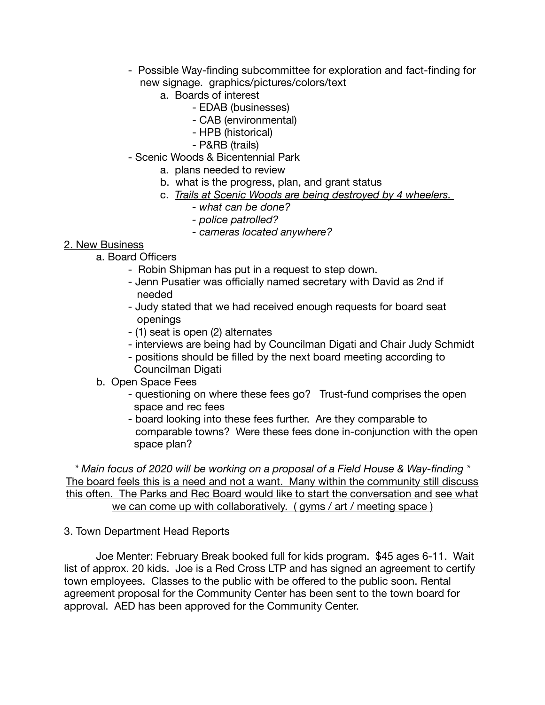- Possible Way-finding subcommittee for exploration and fact-finding for new signage. graphics/pictures/colors/text
	- a. Boards of interest
		- EDAB (businesses)
		- CAB (environmental)
		- HPB (historical)
		- P&RB (trails)
- Scenic Woods & Bicentennial Park
	- a. plans needed to review
	- b. what is the progress, plan, and grant status
	- c. *Trails at Scenic Woods are being destroyed by 4 wheelers.* 
		- *what can be done?*
		- *police patrolled?*
		- *cameras located anywhere?*

# 2. New Business

- a. Board Officers
	- Robin Shipman has put in a request to step down.
	- Jenn Pusatier was officially named secretary with David as 2nd if needed
	- Judy stated that we had received enough requests for board seat openings
	- (1) seat is open (2) alternates
	- interviews are being had by Councilman Digati and Chair Judy Schmidt
	- positions should be filled by the next board meeting according to Councilman Digati
- b. Open Space Fees
	- questioning on where these fees go? Trust-fund comprises the open space and rec fees
	- board looking into these fees further. Are they comparable to comparable towns? Were these fees done in-conjunction with the open space plan?

*\* Main focus of 2020 will be working on a proposal of a Field House & Way-finding \** The board feels this is a need and not a want. Many within the community still discuss this often. The Parks and Rec Board would like to start the conversation and see what we can come up with collaboratively. ( gyms / art / meeting space )

## 3. Town Department Head Reports

Joe Menter: February Break booked full for kids program. \$45 ages 6-11. Wait list of approx. 20 kids. Joe is a Red Cross LTP and has signed an agreement to certify town employees. Classes to the public with be offered to the public soon. Rental agreement proposal for the Community Center has been sent to the town board for approval. AED has been approved for the Community Center.